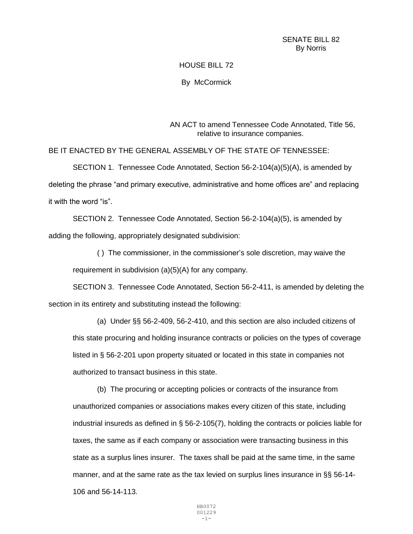## HOUSE BILL 72

By McCormick

AN ACT to amend Tennessee Code Annotated, Title 56, relative to insurance companies.

BE IT ENACTED BY THE GENERAL ASSEMBLY OF THE STATE OF TENNESSEE:

SECTION 1. Tennessee Code Annotated, Section 56-2-104(a)(5)(A), is amended by deleting the phrase "and primary executive, administrative and home offices are" and replacing it with the word "is".

SECTION 2. Tennessee Code Annotated, Section 56-2-104(a)(5), is amended by adding the following, appropriately designated subdivision:

( ) The commissioner, in the commissioner's sole discretion, may waive the requirement in subdivision (a)(5)(A) for any company.

SECTION 3. Tennessee Code Annotated, Section 56-2-411, is amended by deleting the section in its entirety and substituting instead the following:

(a) Under §§ 56-2-409, 56-2-410, and this section are also included citizens of this state procuring and holding insurance contracts or policies on the types of coverage listed in § 56-2-201 upon property situated or located in this state in companies not authorized to transact business in this state.

(b) The procuring or accepting policies or contracts of the insurance from unauthorized companies or associations makes every citizen of this state, including industrial insureds as defined in § 56-2-105(7), holding the contracts or policies liable for taxes, the same as if each company or association were transacting business in this state as a surplus lines insurer. The taxes shall be paid at the same time, in the same manner, and at the same rate as the tax levied on surplus lines insurance in §§ 56-14- 106 and 56-14-113.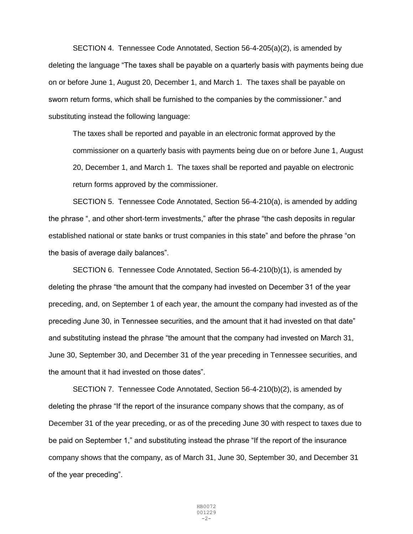SECTION 4. Tennessee Code Annotated, Section 56-4-205(a)(2), is amended by deleting the language "The taxes shall be payable on a quarterly basis with payments being due on or before June 1, August 20, December 1, and March 1. The taxes shall be payable on sworn return forms, which shall be furnished to the companies by the commissioner." and substituting instead the following language:

The taxes shall be reported and payable in an electronic format approved by the commissioner on a quarterly basis with payments being due on or before June 1, August 20, December 1, and March 1. The taxes shall be reported and payable on electronic return forms approved by the commissioner.

SECTION 5. Tennessee Code Annotated, Section 56-4-210(a), is amended by adding the phrase ", and other short-term investments," after the phrase "the cash deposits in regular established national or state banks or trust companies in this state" and before the phrase "on the basis of average daily balances".

SECTION 6. Tennessee Code Annotated, Section 56-4-210(b)(1), is amended by deleting the phrase "the amount that the company had invested on December 31 of the year preceding, and, on September 1 of each year, the amount the company had invested as of the preceding June 30, in Tennessee securities, and the amount that it had invested on that date" and substituting instead the phrase "the amount that the company had invested on March 31, June 30, September 30, and December 31 of the year preceding in Tennessee securities, and the amount that it had invested on those dates".

SECTION 7. Tennessee Code Annotated, Section 56-4-210(b)(2), is amended by deleting the phrase "If the report of the insurance company shows that the company, as of December 31 of the year preceding, or as of the preceding June 30 with respect to taxes due to be paid on September 1," and substituting instead the phrase "If the report of the insurance company shows that the company, as of March 31, June 30, September 30, and December 31 of the year preceding".

> HB0072 001229  $-2-$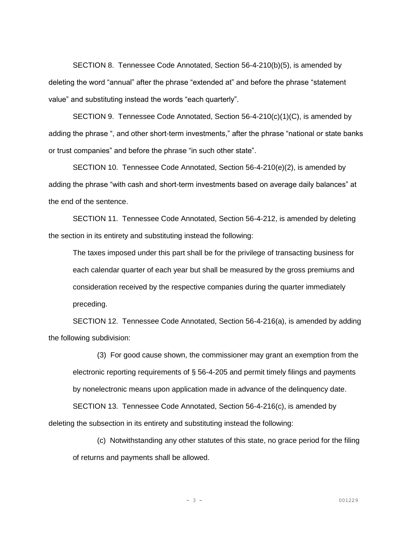SECTION 8. Tennessee Code Annotated, Section 56-4-210(b)(5), is amended by deleting the word "annual" after the phrase "extended at" and before the phrase "statement value" and substituting instead the words "each quarterly".

SECTION 9. Tennessee Code Annotated, Section 56-4-210(c)(1)(C), is amended by adding the phrase ", and other short-term investments," after the phrase "national or state banks or trust companies" and before the phrase "in such other state".

SECTION 10. Tennessee Code Annotated, Section 56-4-210(e)(2), is amended by adding the phrase "with cash and short-term investments based on average daily balances" at the end of the sentence.

SECTION 11. Tennessee Code Annotated, Section 56-4-212, is amended by deleting the section in its entirety and substituting instead the following:

The taxes imposed under this part shall be for the privilege of transacting business for each calendar quarter of each year but shall be measured by the gross premiums and consideration received by the respective companies during the quarter immediately preceding.

SECTION 12. Tennessee Code Annotated, Section 56-4-216(a), is amended by adding the following subdivision:

(3) For good cause shown, the commissioner may grant an exemption from the electronic reporting requirements of § 56-4-205 and permit timely filings and payments by nonelectronic means upon application made in advance of the delinquency date.

SECTION 13. Tennessee Code Annotated, Section 56-4-216(c), is amended by deleting the subsection in its entirety and substituting instead the following:

(c) Notwithstanding any other statutes of this state, no grace period for the filing of returns and payments shall be allowed.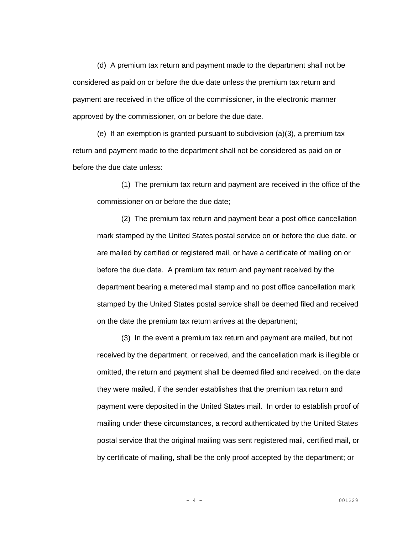(d) A premium tax return and payment made to the department shall not be considered as paid on or before the due date unless the premium tax return and payment are received in the office of the commissioner, in the electronic manner approved by the commissioner, on or before the due date.

(e) If an exemption is granted pursuant to subdivision  $(a)(3)$ , a premium tax return and payment made to the department shall not be considered as paid on or before the due date unless:

(1) The premium tax return and payment are received in the office of the commissioner on or before the due date;

(2) The premium tax return and payment bear a post office cancellation mark stamped by the United States postal service on or before the due date, or are mailed by certified or registered mail, or have a certificate of mailing on or before the due date. A premium tax return and payment received by the department bearing a metered mail stamp and no post office cancellation mark stamped by the United States postal service shall be deemed filed and received on the date the premium tax return arrives at the department;

(3) In the event a premium tax return and payment are mailed, but not received by the department, or received, and the cancellation mark is illegible or omitted, the return and payment shall be deemed filed and received, on the date they were mailed, if the sender establishes that the premium tax return and payment were deposited in the United States mail. In order to establish proof of mailing under these circumstances, a record authenticated by the United States postal service that the original mailing was sent registered mail, certified mail, or by certificate of mailing, shall be the only proof accepted by the department; or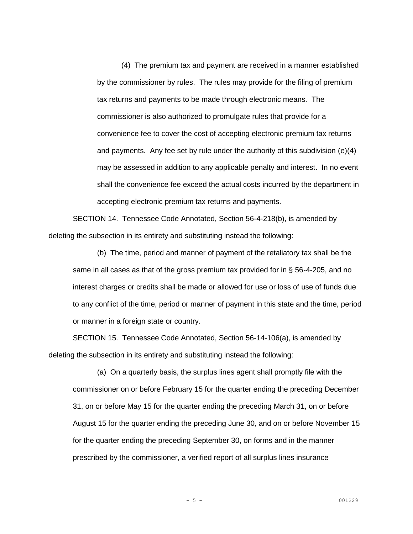(4) The premium tax and payment are received in a manner established by the commissioner by rules. The rules may provide for the filing of premium tax returns and payments to be made through electronic means. The commissioner is also authorized to promulgate rules that provide for a convenience fee to cover the cost of accepting electronic premium tax returns and payments. Any fee set by rule under the authority of this subdivision  $(e)(4)$ may be assessed in addition to any applicable penalty and interest. In no event shall the convenience fee exceed the actual costs incurred by the department in accepting electronic premium tax returns and payments.

SECTION 14. Tennessee Code Annotated, Section 56-4-218(b), is amended by deleting the subsection in its entirety and substituting instead the following:

(b) The time, period and manner of payment of the retaliatory tax shall be the same in all cases as that of the gross premium tax provided for in § 56-4-205, and no interest charges or credits shall be made or allowed for use or loss of use of funds due to any conflict of the time, period or manner of payment in this state and the time, period or manner in a foreign state or country.

SECTION 15. Tennessee Code Annotated, Section 56-14-106(a), is amended by deleting the subsection in its entirety and substituting instead the following:

(a) On a quarterly basis, the surplus lines agent shall promptly file with the commissioner on or before February 15 for the quarter ending the preceding December 31, on or before May 15 for the quarter ending the preceding March 31, on or before August 15 for the quarter ending the preceding June 30, and on or before November 15 for the quarter ending the preceding September 30, on forms and in the manner prescribed by the commissioner, a verified report of all surplus lines insurance

$$
-5-
$$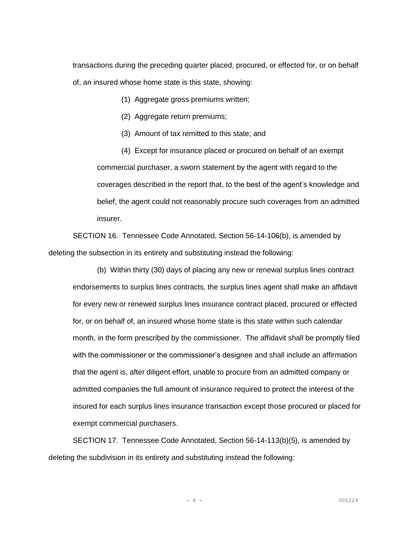transactions during the preceding quarter placed, procured, or effected for, or on behalf of, an insured whose home state is this state, showing:

(1) Aggregate gross premiums written;

(2) Aggregate return premiums;

(3) Amount of tax remitted to this state; and

(4) Except for insurance placed or procured on behalf of an exempt commercial purchaser, a sworn statement by the agent with regard to the coverages described in the report that, to the best of the agent's knowledge and belief, the agent could not reasonably procure such coverages from an admitted insurer.

SECTION 16. Tennessee Code Annotated, Section 56-14-106(b), is amended by deleting the subsection in its entirety and substituting instead the following:

(b) Within thirty (30) days of placing any new or renewal surplus lines contract endorsements to surplus lines contracts, the surplus lines agent shall make an affidavit for every new or renewed surplus lines insurance contract placed, procured or effected for, or on behalf of, an insured whose home state is this state within such calendar month, in the form prescribed by the commissioner. The affidavit shall be promptly filed with the commissioner or the commissioner's designee and shall include an affirmation that the agent is, after diligent effort, unable to procure from an admitted company or admitted companies the full amount of insurance required to protect the interest of the insured for each surplus lines insurance transaction except those procured or placed for exempt commercial purchasers.

SECTION 17. Tennessee Code Annotated, Section 56-14-113(b)(5), is amended by deleting the subdivision in its entirety and substituting instead the following: